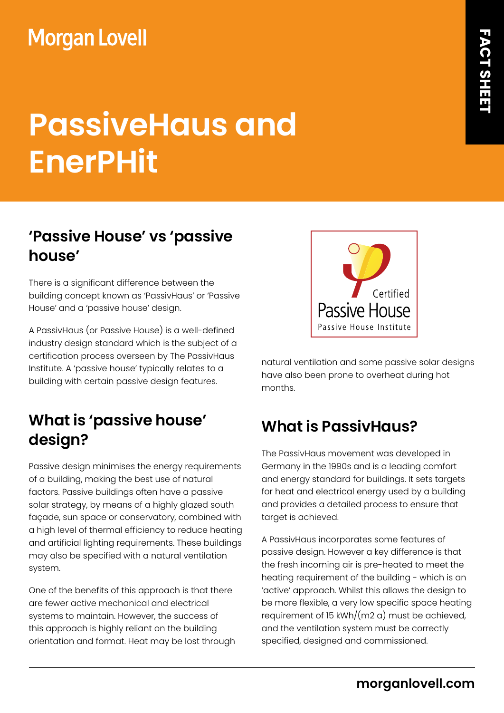## **Morgan Lovell**

# **PassiveHaus and EnerPHit**

#### **'Passive House' vs 'passive house'**

There is a significant difference between the building concept known as 'PassivHaus' or 'Passive House' and a 'passive house' design.

A PassivHaus (or Passive House) is a well-defined industry design standard which is the subject of a certification process overseen by The PassivHaus Institute. A 'passive house' typically relates to a building with certain passive design features.

#### **What is 'passive house' design?**

Passive design minimises the energy requirements of a building, making the best use of natural factors. Passive buildings often have a passive solar strategy, by means of a highly glazed south façade, sun space or conservatory, combined with a high level of thermal efficiency to reduce heating and artificial lighting requirements. These buildings may also be specified with a natural ventilation system.

One of the benefits of this approach is that there are fewer active mechanical and electrical systems to maintain. However, the success of this approach is highly reliant on the building orientation and format. Heat may be lost through



natural ventilation and some passive solar designs have also been prone to overheat during hot months.

### **What is PassivHaus?**

The PassivHaus movement was developed in Germany in the 1990s and is a leading comfort and energy standard for buildings. It sets targets for heat and electrical energy used by a building and provides a detailed process to ensure that target is achieved.

A PassivHaus incorporates some features of passive design. However a key difference is that the fresh incoming air is pre-heated to meet the heating requirement of the building - which is an 'active' approach. Whilst this allows the design to be more flexible, a very low specific space heating requirement of 15 kWh/(m2 a) must be achieved, and the ventilation system must be correctly specified, designed and commissioned.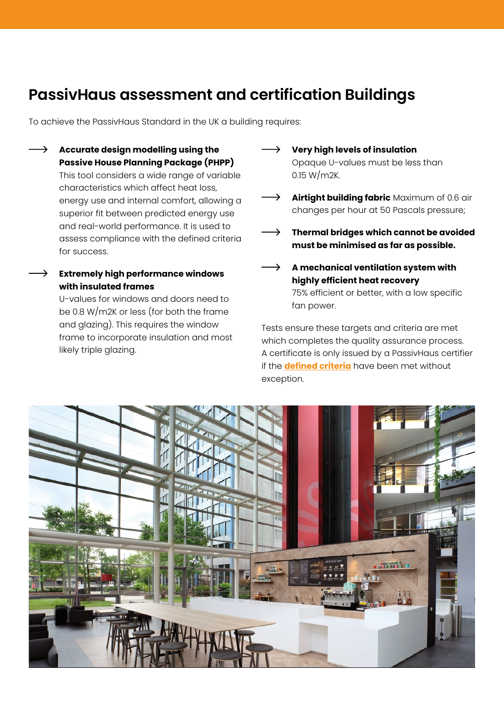#### **PassivHaus assessment and certification Buildings**

To achieve the PassivHaus Standard in the UK a building requires:

- **Accurate design modelling using the Passive House Planning Package (PHPP)** This tool considers a wide range of variable characteristics which affect heat loss, energy use and internal comfort, allowing a superior fit between predicted energy use and real-world performance. It is used to assess compliance with the defined criteria for success.
	- **Extremely high performance windows with insulated frames**

U-values for windows and doors need to be 0.8 W/m2K or less (for both the frame and glazing). This requires the window frame to incorporate insulation and most likely triple glazing.

- **Very high levels of insulation** Opaque U-values must be less than 0.15 W/m2K.
- $\rightarrow$  **Airtight building fabric** Maximum of 0.6 air changes per hour at 50 Pascals pressure;
- **Thermal bridges which cannot be avoided must be minimised as far as possible.**
- $\rightarrow$  A mechanical ventilation system with **highly efficient heat recovery** 75% efficient or better, with a low specific fan power.

Tests ensure these targets and criteria are met which completes the quality assurance process. A certificate is only issued by a PassivHaus certifier if the **[defined criteria](https://passivhaustrust.org.uk/UserFiles/File/2017_PHI_03_building_certification_guide.pdf)** have been met without exception.

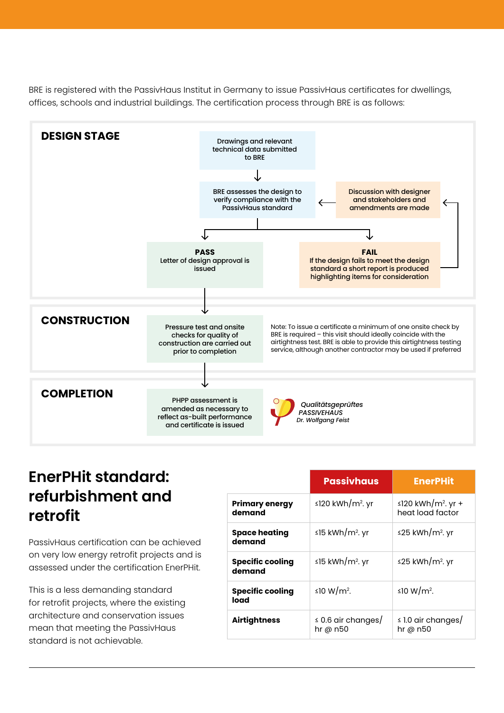BRE is registered with the PassivHaus Institut in Germany to issue PassivHaus certificates for dwellings, offices, schools and industrial buildings. The certification process through BRE is as follows:



#### **EnerPHit standard: refurbishment and retrofit**

PassivHaus certification can be achieved on very low energy retrofit projects and is assessed under the certification EnerPHit.

This is a less demanding standard for retrofit projects, where the existing architecture and conservation issues mean that meeting the PassivHaus standard is not achievable.

|                                   | <b>Passivhaus</b>                     | <b>EnerPHit</b>                                    |
|-----------------------------------|---------------------------------------|----------------------------------------------------|
| <b>Primary energy</b><br>demand   | ≤120 kWh/m <sup>2</sup> . yr          | ≤120 kWh/m <sup>2</sup> . yr +<br>heat load factor |
| <b>Space heating</b><br>demand    | ≤15 kWh/m <sup>2</sup> . yr           | ≤25 kWh/m <sup>2</sup> . yr                        |
| <b>Specific cooling</b><br>demand | ≤15 kWh/m <sup>2</sup> . yr           | ≤25 kWh/m <sup>2</sup> . yr                        |
| <b>Specific cooling</b><br>load   | ≤10 W/m <sup>2</sup> .                | ≤10 W/m <sup>2</sup> .                             |
| <b>Airtightness</b>               | $\leq$ 0.6 air changes/<br>hr @ $n50$ | $\leq$ 1.0 air changes/<br>hr @ $n50$              |